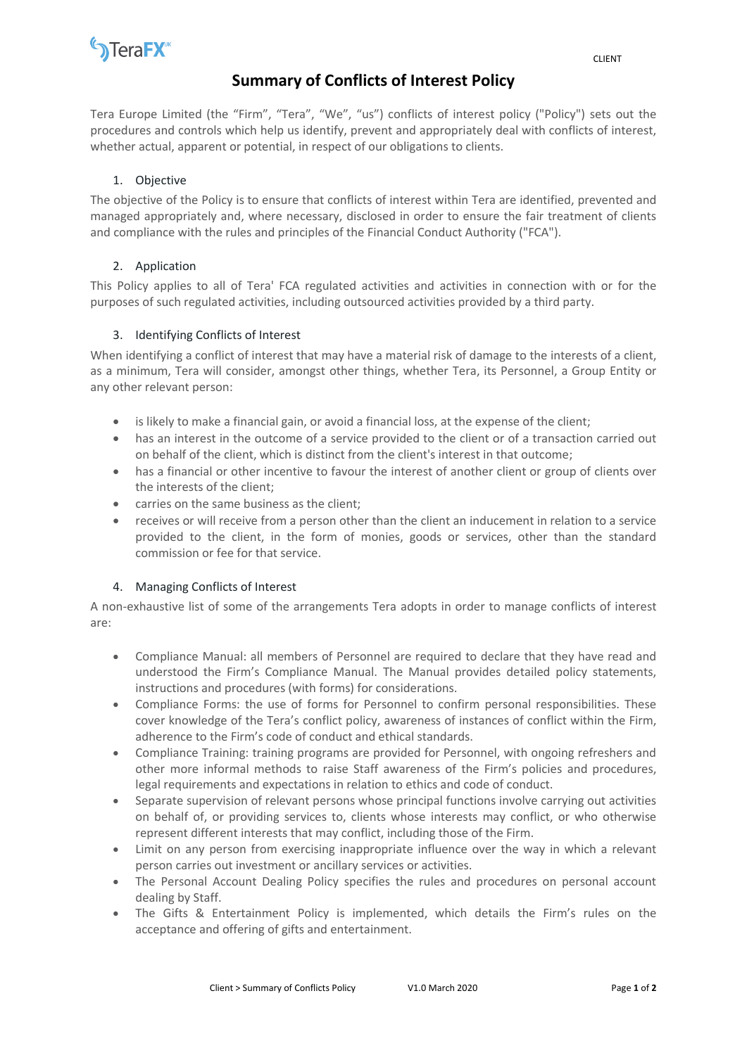

# **Summary of Conflicts of Interest Policy**

Tera Europe Limited (the "Firm", "Tera", "We", "us") conflicts of interest policy ("Policy") sets out the procedures and controls which help us identify, prevent and appropriately deal with conflicts of interest, whether actual, apparent or potential, in respect of our obligations to clients.

### 1. Objective

The objective of the Policy is to ensure that conflicts of interest within Tera are identified, prevented and managed appropriately and, where necessary, disclosed in order to ensure the fair treatment of clients and compliance with the rules and principles of the Financial Conduct Authority ("FCA").

## 2. Application

This Policy applies to all of Tera' FCA regulated activities and activities in connection with or for the purposes of such regulated activities, including outsourced activities provided by a third party.

## 3. Identifying Conflicts of Interest

When identifying a conflict of interest that may have a material risk of damage to the interests of a client, as a minimum, Tera will consider, amongst other things, whether Tera, its Personnel, a Group Entity or any other relevant person:

- is likely to make a financial gain, or avoid a financial loss, at the expense of the client;
- has an interest in the outcome of a service provided to the client or of a transaction carried out on behalf of the client, which is distinct from the client's interest in that outcome;
- has a financial or other incentive to favour the interest of another client or group of clients over the interests of the client;
- carries on the same business as the client;
- receives or will receive from a person other than the client an inducement in relation to a service provided to the client, in the form of monies, goods or services, other than the standard commission or fee for that service.

#### 4. Managing Conflicts of Interest

A non-exhaustive list of some of the arrangements Tera adopts in order to manage conflicts of interest are:

- Compliance Manual: all members of Personnel are required to declare that they have read and understood the Firm's Compliance Manual. The Manual provides detailed policy statements, instructions and procedures (with forms) for considerations.
- Compliance Forms: the use of forms for Personnel to confirm personal responsibilities. These cover knowledge of the Tera's conflict policy, awareness of instances of conflict within the Firm, adherence to the Firm's code of conduct and ethical standards.
- Compliance Training: training programs are provided for Personnel, with ongoing refreshers and other more informal methods to raise Staff awareness of the Firm's policies and procedures, legal requirements and expectations in relation to ethics and code of conduct.
- Separate supervision of relevant persons whose principal functions involve carrying out activities on behalf of, or providing services to, clients whose interests may conflict, or who otherwise represent different interests that may conflict, including those of the Firm.
- Limit on any person from exercising inappropriate influence over the way in which a relevant person carries out investment or ancillary services or activities.
- The Personal Account Dealing Policy specifies the rules and procedures on personal account dealing by Staff.
- The Gifts & Entertainment Policy is implemented, which details the Firm's rules on the acceptance and offering of gifts and entertainment.